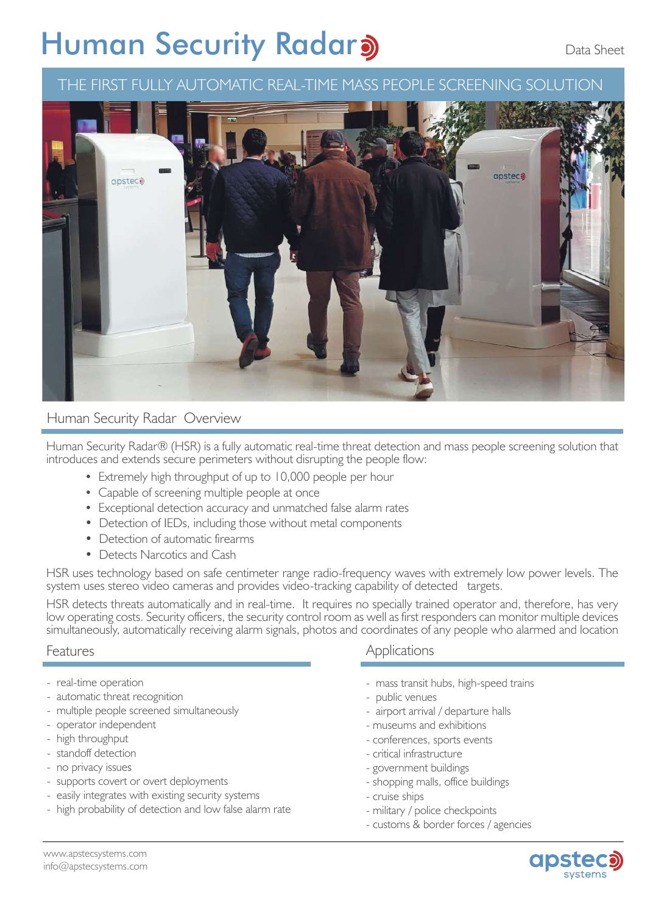# **Human Security Radara**

# THE FIRST FULLY AUTOMATIC REAL-TIME MASS PEOPLE SCREENING SOLUTION



#### Human Security Radar Overview

Human Security Radar® (HSR) is a fully automatic real-time threat detection and mass people screening solution that introduces and extends secure perimeters without disrupting the people flow:

- Extremely high throughput of up to 10,000 people per hour
- Capable of screening multiple people at once
- Exceptional detection accuracy and unmatched false alarm rates
- Detection of IEDs, including those without metal components
- Detection of automatic firearms
- Detects Narcotics and Cash

HSR uses technology based on safe centimeter range radio-frequency waves with extremely low power levels. The system uses stereo video cameras and provides video-tracking capability of detected targets.

HSR detects threats automatically and in real-time. It requires no specially trained operator and, therefore, has very low operating costs. Security officers, the security control room as well as first responders can monitor multiple devices simultaneously, automatically receiving alarm signals, photos and coordinates of any people who alarmed and location

#### Features

- real-time operation
- automatic threat recognition
- multiple people screened simultaneously
- operator independent
- high throughput
- standoff detection
- no privacy issues
- supports covert or overt deployments
- easily integrates with existing security systems
- high probability of detection and low false alarm rate

#### **Applications**

- mass transit hubs, high-speed trains
- public venues
- airport arrival / departure halls
- museums and exhibitions
- conferences, sports events
- critical infrastructure
- government buildings
- shopping malls, office buildings
- cruise ships
- military / police checkpoints
- customs & border forces / agencies